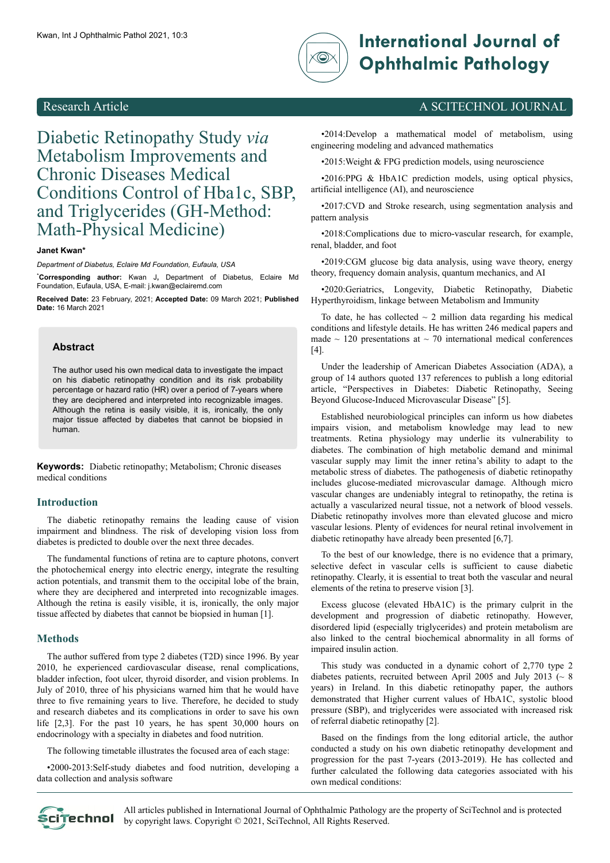

# Kwan, Int J Ophthalmic Pathol 2021, 10:3 **International Journal of Ophthalmic Pathology**

## Diabetic Retinopathy Study *via* Metabolism Improvements and Chronic Diseases Medical Conditions Control of Hba1c, SBP, and Triglycerides (GH-Method: Math-Physical Medicine)

#### **Janet Kwan\***

*Department of Diabetus, Eclaire Md Foundation, Eufaula, USA*

\***Corresponding author:** Kwan J**,** Department of Diabetus, Eclaire Md Foundation, Eufaula, USA, E-mail: j.kwan@eclairemd.com

Received Date: 23 February, 2021; Accepted Date: 09 March 2021; Published **Date:** 16 March 2021

#### **Abstract**

The author used his own medical data to investigate the impact on his diabetic retinopathy condition and its risk probability percentage or hazard ratio (HR) over a period of 7-years where they are deciphered and interpreted into recognizable images. Although the retina is easily visible, it is, ironically, the only major tissue affected by diabetes that cannot be biopsied in human.

**Keywords:** Diabetic retinopathy; Metabolism; Chronic diseases medical conditions

#### **Introduction**

The diabetic retinopathy remains the leading cause of vision impairment and blindness. The risk of developing vision loss from diabetes is predicted to double over the next three decades.

The fundamental functions of retina are to capture photons, convert the photochemical energy into electric energy, integrate the resulting action potentials, and transmit them to the occipital lobe of the brain, where they are deciphered and interpreted into recognizable images. Although the retina is easily visible, it is, ironically, the only major tissue affected by diabetes that cannot be biopsied in human [1].

#### **Methods**

The author suffered from type 2 diabetes (T2D) since 1996. By year 2010, he experienced cardiovascular disease, renal complications, bladder infection, foot ulcer, thyroid disorder, and vision problems. In July of 2010, three of his physicians warned him that he would have three to five remaining years to live. Therefore, he decided to study and research diabetes and its complications in order to save his own life [2,3]. For the past 10 years, he has spent 30,000 hours on endocrinology with a specialty in diabetes and food nutrition.

The following timetable illustrates the focused area of each stage:

•2000-2013:Self-study diabetes and food nutrition, developing a data collection and analysis software

### Research Article A SCITECHNOL JOURNAL

•2014:Develop a mathematical model of metabolism, using engineering modeling and advanced mathematics

•2015:Weight & FPG prediction models, using neuroscience

•2016:PPG & HbA1C prediction models, using optical physics, artificial intelligence (AI), and neuroscience

•2017:CVD and Stroke research, using segmentation analysis and pattern analysis

•2018:Complications due to micro-vascular research, for example, renal, bladder, and foot

•2019:CGM glucose big data analysis, using wave theory, energy theory, frequency domain analysis, quantum mechanics, and AI

•2020:Geriatrics, Longevity, Diabetic Retinopathy, Diabetic Hyperthyroidism, linkage between Metabolism and Immunity

To date, he has collected  $\sim$  2 million data regarding his medical conditions and lifestyle details. He has written 246 medical papers and made  $\sim$  120 presentations at  $\sim$  70 international medical conferences [4].

Under the leadership of American Diabetes Association (ADA), a group of 14 authors quoted 137 references to publish a long editorial article, "Perspectives in Diabetes: Diabetic Retinopathy, Seeing Beyond Glucose-Induced Microvascular Disease" [5].

Established neurobiological principles can inform us how diabetes impairs vision, and metabolism knowledge may lead to new treatments. Retina physiology may underlie its vulnerability to diabetes. The combination of high metabolic demand and minimal vascular supply may limit the inner retina's ability to adapt to the metabolic stress of diabetes. The pathogenesis of diabetic retinopathy includes glucose-mediated microvascular damage. Although micro vascular changes are undeniably integral to retinopathy, the retina is actually a vascularized neural tissue, not a network of blood vessels. Diabetic retinopathy involves more than elevated glucose and micro vascular lesions. Plenty of evidences for neural retinal involvement in diabetic retinopathy have already been presented [6,7].

To the best of our knowledge, there is no evidence that a primary, selective defect in vascular cells is sufficient to cause diabetic retinopathy. Clearly, it is essential to treat both the vascular and neural elements of the retina to preserve vision [3].

Excess glucose (elevated HbA1C) is the primary culprit in the development and progression of diabetic retinopathy. However, disordered lipid (especially triglycerides) and protein metabolism are also linked to the central biochemical abnormality in all forms of impaired insulin action.

This study was conducted in a dynamic cohort of 2,770 type 2 diabetes patients, recruited between April 2005 and July 2013 ( $\sim 8$ years) in Ireland. In this diabetic retinopathy paper, the authors demonstrated that Higher current values of HbA1C, systolic blood pressure (SBP), and triglycerides were associated with increased risk of referral diabetic retinopathy [2].

Based on the findings from the long editorial article, the author conducted a study on his own diabetic retinopathy development and progression for the past 7-years (2013-2019). He has collected and further calculated the following data categories associated with his own medical conditions:

All articles published in International Journal of Ophthalmic Pathology are the property of SciTechnol and is protected Scitechnol by copyright laws. Copyright © 2021, SciTechnol, All Rights Reserved.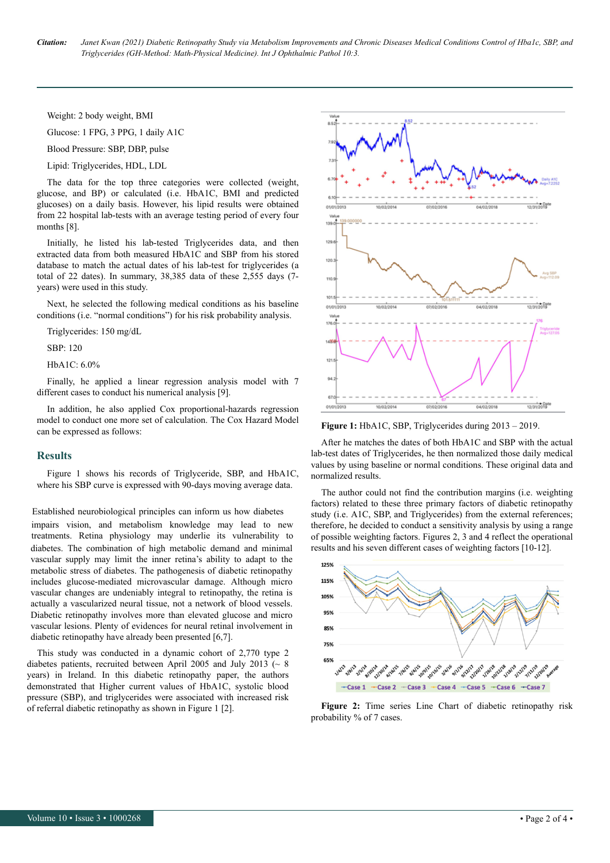Weight: 2 body weight, BMI

Glucose: 1 FPG, 3 PPG, 1 daily A1C

Blood Pressure: SBP, DBP, pulse

Lipid: Triglycerides, HDL, LDL

The data for the top three categories were collected (weight, glucose, and BP) or calculated (i.e. HbA1C, BMI and predicted glucoses) on a daily basis. However, his lipid results were obtained from 22 hospital lab-tests with an average testing period of every four months [8].

Initially, he listed his lab-tested Triglycerides data, and then extracted data from both measured HbA1C and SBP from his stored database to match the actual dates of his lab-test for triglycerides (a total of 22 dates). In summary, 38,385 data of these 2,555 days (7 years) were used in this study.

Next, he selected the following medical conditions as his baseline conditions (i.e. "normal conditions") for his risk probability analysis.

Triglycerides: 150 mg/dL

SBP: 120

HbA1C: 6.0%

Finally, he applied a linear regression analysis model with 7 different cases to conduct his numerical analysis [9].

In addition, he also applied Cox proportional-hazards regression model to conduct one more set of calculation. The Cox Hazard Model can be expressed as follows:

#### **Results**

Figure 1 shows his records of Triglyceride, SBP, and HbA1C, where his SBP curve is expressed with 90-days moving average data.

Established neurobiological principles can inform us how diabetes

impairs vision, and metabolism knowledge may lead to new treatments. Retina physiology may underlie its vulnerability to diabetes. The combination of high metabolic demand and minimal vascular supply may limit the inner retina's ability to adapt to the metabolic stress of diabetes. The pathogenesis of diabetic retinopathy includes glucose-mediated microvascular damage. Although micro vascular changes are undeniably integral to retinopathy, the retina is actually a vascularized neural tissue, not a network of blood vessels. Diabetic retinopathy involves more than elevated glucose and micro vascular lesions. Plenty of evidences for neural retinal involvement in diabetic retinopathy have already been presented [6,7].

This study was conducted in a dynamic cohort of 2,770 type 2 diabetes patients, recruited between April 2005 and July 2013 ( $\sim 8$ ) years) in Ireland. In this diabetic retinopathy paper, the authors demonstrated that Higher current values of HbA1C, systolic blood pressure (SBP), and triglycerides were associated with increased risk of referral diabetic retinopathy as shown in Figure 1 [2].



**Figure 1:** HbA1C, SBP, Triglycerides during 2013 – 2019.

After he matches the dates of both HbA1C and SBP with the actual lab-test dates of Triglycerides, he then normalized those daily medical values by using baseline or normal conditions. These original data and normalized results.

The author could not find the contribution margins (i.e. weighting factors) related to these three primary factors of diabetic retinopathy study (i.e. A1C, SBP, and Triglycerides) from the external references; therefore, he decided to conduct a sensitivity analysis by using a range of possible weighting factors. Figures 2, 3 and 4 reflect the operational results and his seven different cases of weighting factors [10-12].



**Figure 2:** Time series Line Chart of diabetic retinopathy risk probability % of 7 cases.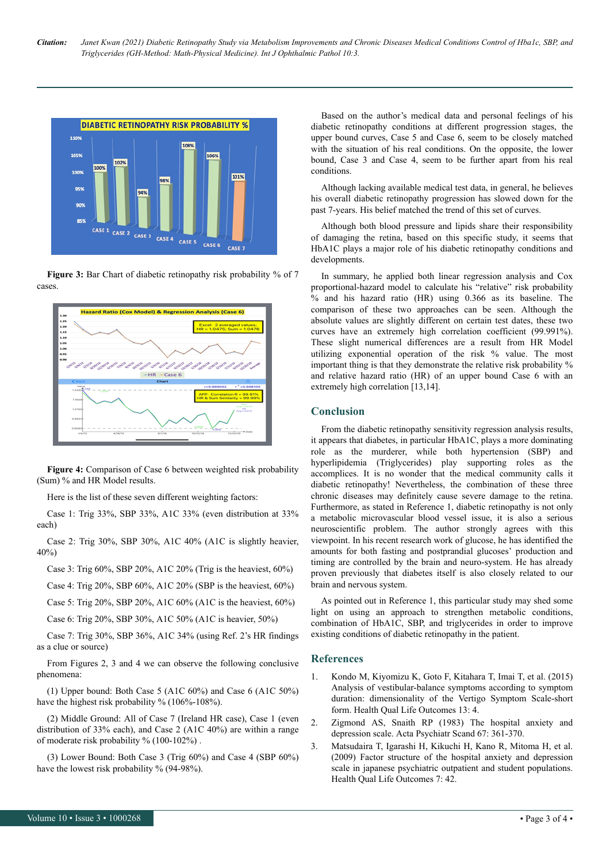

Figure 3: Bar Chart of diabetic retinopathy risk probability % of 7 cases.



**Figure 4:** Comparison of Case 6 between weighted risk probability (Sum) % and HR Model results.

Here is the list of these seven different weighting factors:

Case 1: Trig 33%, SBP 33%, A1C 33% (even distribution at 33% each)

Case 2: Trig 30%, SBP 30%, A1C 40% (A1C is slightly heavier, 40%)

Case 3: Trig 60%, SBP 20%, A1C 20% (Trig is the heaviest, 60%)

Case 4: Trig 20%, SBP 60%, A1C 20% (SBP is the heaviest, 60%)

Case 5: Trig 20%, SBP 20%, A1C 60% (A1C is the heaviest, 60%)

Case 6: Trig 20%, SBP 30%, A1C 50% (A1C is heavier, 50%)

Case 7: Trig 30%, SBP 36%, A1C 34% (using Ref. 2's HR findings as a clue or source)

From Figures 2, 3 and 4 we can observe the following conclusive phenomena:

(1) Upper bound: Both Case 5 (A1C 60%) and Case 6 (A1C 50%) have the highest risk probability % (106%-108%).

(2) Middle Ground: All of Case 7 (Ireland HR case), Case 1 (even distribution of 33% each), and Case 2 (A1C 40%) are within a range of moderate risk probability % (100-102%) .

(3) Lower Bound: Both Case 3 (Trig 60%) and Case 4 (SBP 60%) have the lowest risk probability % (94-98%).

Based on the author's medical data and personal feelings of his diabetic retinopathy conditions at different progression stages, the upper bound curves, Case 5 and Case 6, seem to be closely matched with the situation of his real conditions. On the opposite, the lower bound, Case 3 and Case 4, seem to be further apart from his real conditions.

Although lacking available medical test data, in general, he believes his overall diabetic retinopathy progression has slowed down for the past 7-years. His belief matched the trend of this set of curves.

Although both blood pressure and lipids share their responsibility of damaging the retina, based on this specific study, it seems that HbA1C plays a major role of his diabetic retinopathy conditions and developments.

In summary, he applied both linear regression analysis and Cox proportional-hazard model to calculate his "relative" risk probability % and his hazard ratio (HR) using 0.366 as its baseline. The comparison of these two approaches can be seen. Although the absolute values are slightly different on certain test dates, these two curves have an extremely high correlation coefficient (99.991%). These slight numerical differences are a result from HR Model utilizing exponential operation of the risk % value. The most important thing is that they demonstrate the relative risk probability % and relative hazard ratio (HR) of an upper bound Case 6 with an extremely high correlation [13,14].

#### **Conclusion**

From the diabetic retinopathy sensitivity regression analysis results, it appears that diabetes, in particular HbA1C, plays a more dominating role as the murderer, while both hypertension (SBP) and hyperlipidemia (Triglycerides) play supporting roles as the accomplices. It is no wonder that the medical community calls it diabetic retinopathy! Nevertheless, the combination of these three chronic diseases may definitely cause severe damage to the retina. Furthermore, as stated in Reference 1, diabetic retinopathy is not only a metabolic microvascular blood vessel issue, it is also a serious neuroscientific problem. The author strongly agrees with this viewpoint. In his recent research work of glucose, he has identified the amounts for both fasting and postprandial glucoses' production and timing are controlled by the brain and neuro-system. He has already proven previously that diabetes itself is also closely related to our brain and nervous system.

As pointed out in Reference 1, this particular study may shed some light on using an approach to strengthen metabolic conditions, combination of HbA1C, SBP, and triglycerides in order to improve existing conditions of diabetic retinopathy in the patient.

#### **References**

- 1. [Kondo M, Kiyomizu K, Goto F, Kitahara T, Imai T, et al. \(2015\)](https://hqlo.biomedcentral.com/articles/10.1186/s12955-015-0207-7) [Analysis of vestibular-balance symptoms according to symptom](https://hqlo.biomedcentral.com/articles/10.1186/s12955-015-0207-7) [duration: dimensionality of the Vertigo Symptom Scale-short](https://hqlo.biomedcentral.com/articles/10.1186/s12955-015-0207-7) [form. Health Qual Life Outcomes 13: 4.](https://hqlo.biomedcentral.com/articles/10.1186/s12955-015-0207-7)
- 2. [Zigmond AS, Snaith RP \(1983\) The hospital anxiety and](https://hqlo.biomedcentral.com/articles/10.1186/1477-7525-1-29) [depression scale. Acta Psychiatr Scand 67: 361-370.](https://hqlo.biomedcentral.com/articles/10.1186/1477-7525-1-29)
- 3. [Matsudaira T, Igarashi H, Kikuchi H, Kano R, Mitoma H, et al.](https://hqlo.biomedcentral.com/articles/10.1186/1477-7525-7-42) [\(2009\) Factor structure of the hospital anxiety and depression](https://hqlo.biomedcentral.com/articles/10.1186/1477-7525-7-42) [scale in japanese psychiatric outpatient and student populations.](https://hqlo.biomedcentral.com/articles/10.1186/1477-7525-7-42) [Health Qual Life Outcomes 7: 42.](https://hqlo.biomedcentral.com/articles/10.1186/1477-7525-7-42)